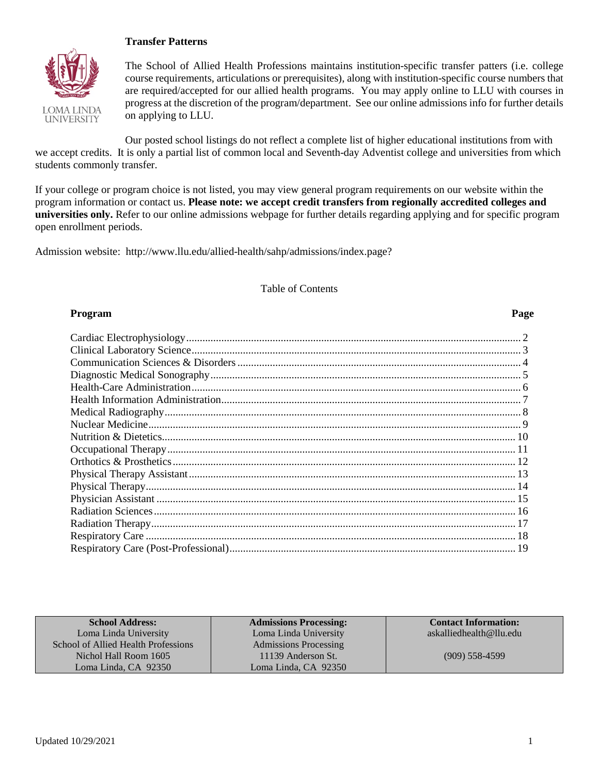### **Transfer Patterns**



The School of Allied Health Professions maintains institution-specific transfer patters (i.e. college course requirements, articulations or prerequisites), along with institution-specific course numbers that are required/accepted for our allied health programs. You may apply online to LLU with courses in progress at the discretion of the program/department. See our online admissions info for further details on applying to LLU.

Our posted school listings do not reflect a complete list of higher educational institutions from with we accept credits. It is only a partial list of common local and Seventh-day Adventist college and universities from which students commonly transfer.

If your college or program choice is not listed, you may view general program requirements on our website within the program information or contact us. **Please note: we accept credit transfers from regionally accredited colleges and universities only.** Refer to our online admissions webpage for further details regarding applying and for specific program open enrollment periods.

Admission website: http://www.llu.edu/allied-health/sahp/admissions/index.page?

### Table of Contents

### **Program Page**

| <b>School Address:</b>              | <b>Admissions Processing:</b> | <b>Contact Information:</b> |
|-------------------------------------|-------------------------------|-----------------------------|
| Loma Linda University               | Loma Linda University         | askalliedhealth@llu.edu     |
| School of Allied Health Professions | <b>Admissions Processing</b>  |                             |
| Nichol Hall Room 1605               | 11139 Anderson St.            | $(909)$ 558-4599            |
| Loma Linda, CA 92350                | Loma Linda, CA 92350          |                             |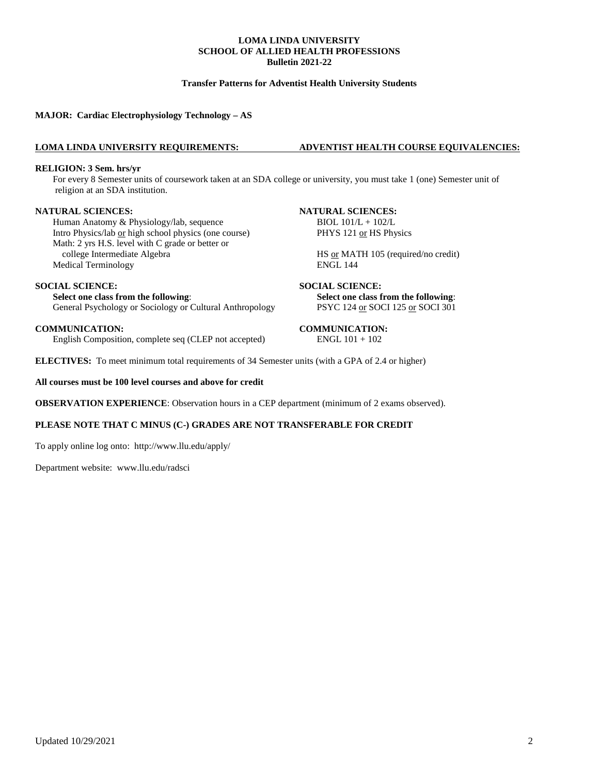### **Transfer Patterns for Adventist Health University Students**

**MAJOR: Cardiac Electrophysiology Technology – AS**

### **LOMA LINDA UNIVERSITY REQUIREMENTS: ADVENTIST HEALTH COURSE EQUIVALENCIES:**

#### **RELIGION: 3 Sem. hrs/yr**

For every 8 Semester units of coursework taken at an SDA college or university, you must take 1 (one) Semester unit of religion at an SDA institution.

Human Anatomy & Physiology/lab, sequence BIOL 101/L + 102/L Intro Physics/lab <u>or</u> high school physics (one course) PHYS 121 or HS Physics Math: 2 yrs H.S. level with C grade or better or<br>college Intermediate Algebra Medical Terminology

### **SOCIAL SCIENCE: SOCIAL SCIENCE:**

**Select one class from the following**: **Select one class from the following**: General Psychology or Sociology or Cultural Anthropology PSYC 124 or SOCI 125 or SOCI 301

**COMMUNICATION:** COMMUNICATION: English Composition, complete seq (CLEP not accepted) ENGL  $101 + 102$ English Composition, complete seq (CLEP not accepted)

### **NATURAL SCIENCES: NATURAL SCIENCES:**

HS <u>or</u> MATH 105 (required/no credit)<br>ENGL 144

**ELECTIVES:** To meet minimum total requirements of 34 Semester units (with a GPA of 2.4 or higher)

### **All courses must be 100 level courses and above for credit**

**OBSERVATION EXPERIENCE**: Observation hours in a CEP department (minimum of 2 exams observed).

### **PLEASE NOTE THAT C MINUS (C-) GRADES ARE NOT TRANSFERABLE FOR CREDIT**

To apply online log onto: <http://www.llu.edu/apply/>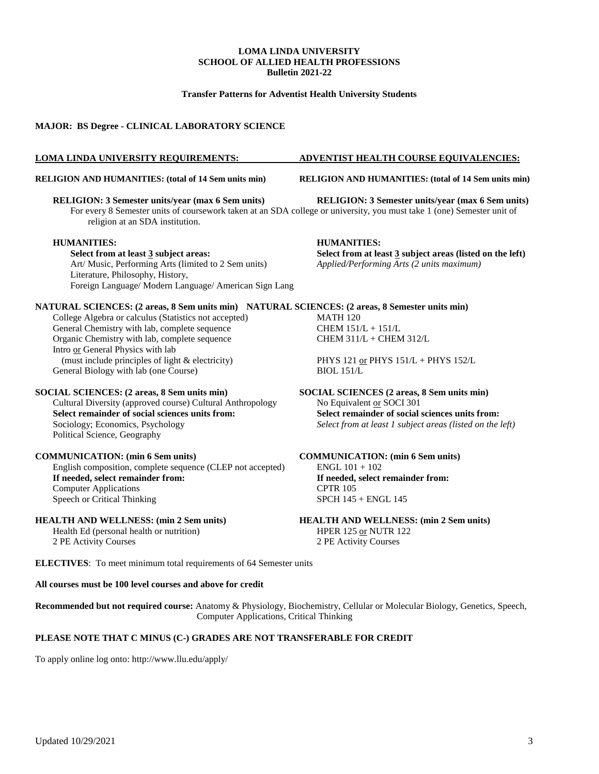### **Transfer Patterns for Adventist Health University Students**

### **MAJOR: BS Degree - CLINICAL LABORATORY SCIENCE**

### **LOMA LINDA UNIVERSITY REQUIREMENTS: ADVENTIST HEALTH COURSE EQUIVALENCIES:**

### **RELIGION AND HUMANITIES: (total of 14 Sem units min) RELIGION AND HUMANITIES: (total of 14 Sem units min)**

### **RELIGION: 3 Semester units/year (max 6 Sem units) RELIGION: 3 Semester units/year (max 6 Sem units)**

For every 8 Semester units of coursework taken at an SDA college or university, you must take 1 (one) Semester unit of religion at an SDA institution.

### **HUMANITIES: HUMANITIES:**

Art/ Music, Performing Arts (limited to 2 Sem units) Literature, Philosophy, History, Foreign Language/ Modern Language/ American Sign Lang

**Select from at least 3 subject areas: Select from at least 3 subject areas (listed on the left)** Art/ Music, Performing Arts (limited to 2 Sem units) *Applied/Performing Arts (2 units maximum)* 

### **NATURAL SCIENCES: (2 areas, 8 Sem units min) NATURAL SCIENCES: (2 areas, 8 Semester units min)**

College Algebra or calculus (Statistics not accepted) MATH 120 General Chemistry with lab, complete sequence CHEM  $151/L + 151/L$ Organic Chemistry with lab, complete sequence CHEM 311/L + CHEM 312/L Intro or General Physics with lab (must include principles of light & electricity) PHYS 121 or PHYS 151/L + PHYS 152/L eneral Biology with lab (one Course) BIOL 151/L General Biology with lab (one Course)

Cultural Diversity (approved course) Cultural Anthropology **Select remainder of social sciences units from:**<br>Sociology; Economics, Psychology<br>Select from at least 1 subject areas (listed on the Political Science, Geography

#### **COMMUNICATION: (min 6 Sem units) COMMUNICATION: (min 6 Sem units)**

English composition, complete sequence (CLEP not accepted)  $ENGL 101 + 102$ <br> **If needed, select remainder from:** If needed, select remainder from: **If needed, select remainder from: If needed, Computer Applications If needed, Computer Applications** Computer Applications<br>
Speech or Critical Thinking<br>
SPCH 145 + ENGL 145 Speech or Critical Thinking

Health Ed (personal health or nutrition) HPER 125 or NUTR 122 2 PE Activity Courses 2 PE Activity Courses

**ELECTIVES**: To meet minimum total requirements of 64 Semester units

#### **All courses must be 100 level courses and above for credit**

**Recommended but not required course:** Anatomy & Physiology, Biochemistry, Cellular or Molecular Biology, Genetics, Speech, Computer Applications, Critical Thinking

#### **PLEASE NOTE THAT C MINUS (C-) GRADES ARE NOT TRANSFERABLE FOR CREDIT**

To apply online log onto:<http://www.llu.edu/apply/>

**SOCIAL SCIENCES: (2 areas, 8 Sem units min)**<br>Cultural Diversity (approved course) Cultural Anthropology Mo Equivalent <u>or</u> SOCI 301 Select from at least 1 subject areas (listed on the left)

**HEALTH AND WELLNESS: (min 2 Sem units) HEALTH AND WELLNESS: (min 2 Sem units)**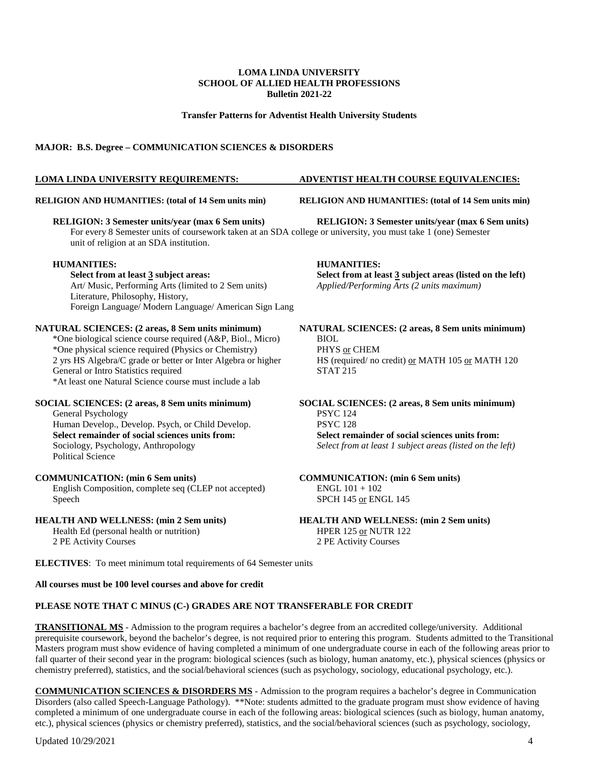#### **Transfer Patterns for Adventist Health University Students**

### **MAJOR: B.S. Degree – COMMUNICATION SCIENCES & DISORDERS**

**RELIGION AND HUMANITIES: (total of 14 Sem units min) RELIGION AND HUMANITIES: (total of 14 Sem units min)**

#### **RELIGION: 3 Semester units/year (max 6 Sem units) RELIGION: 3 Semester units/year (max 6 Sem units)**

For every 8 Semester units of coursework taken at an SDA college or university, you must take 1 (one) Semester unit of religion at an SDA institution.

## **HUMANITIES: HUMANITIES:**

Art/ Music, Performing Arts (limited to 2 Sem units) Literature, Philosophy, History, Foreign Language/ Modern Language/ American Sign Lang

### **NATURAL SCIENCES: (2 areas, 8 Sem units minimum) NATURAL SCIENCES: (2 areas, 8 Sem units minimum)**

\*One biological science course required (A&P, Biol., Micro) BIOL<br>\*One physical science required (Physics or Chemistry) PHYS or CHEM \*One physical science required (Physics or Chemistry) <br>2 yrs HS Algebra/C grade or better or Inter Algebra or higher HS (required/ no credit) <u>or</u> MATH 105 <u>or</u> MATH 120 2 yrs HS Algebra/C grade or better or Inter Algebra or higher General or Intro Statistics required STAT 215 \*At least one Natural Science course must include a lab

General Psychology PSYC 124<br>
Human Develon, Develon, Psych, or Child Develon, PSYC 128 Human Develop., Develop. Psych, or Child Develop.<br>Select remainder of social sciences units from: **Select remainder of social sciences units from:**<br>Sociology, Psychology, Anthropology<br>Select from at least 1 subject areas (listed on the integral) Political Science

English Composition, complete seq (CLEP not accepted) Speech

Health Ed (personal health or nutrition) 2 PE Activity Courses 2 PE Activity Courses

**ELECTIVES**: To meet minimum total requirements of 64 Semester units

### **All courses must be 100 level courses and above for credit**

### **PLEASE NOTE THAT C MINUS (C-) GRADES ARE NOT TRANSFERABLE FOR CREDIT**

**TRANSITIONAL MS** - Admission to the program requires a bachelor's degree from an accredited college/university. Additional prerequisite coursework, beyond the bachelor's degree, is not required prior to entering this program. Students admitted to the Transitional Masters program must show evidence of having completed a minimum of one undergraduate course in each of the following areas prior to fall quarter of their second year in the program: biological sciences (such as biology, human anatomy, etc.), physical sciences (physics or chemistry preferred), statistics, and the social/behavioral sciences (such as psychology, sociology, educational psychology, etc.).

**COMMUNICATION SCIENCES & DISORDERS MS** - Admission to the program requires a bachelor's degree in Communication Disorders (also called Speech-Language Pathology). \*\*Note: students admitted to the graduate program must show evidence of having completed a minimum of one undergraduate course in each of the following areas: biological sciences (such as biology, human anatomy, etc.), physical sciences (physics or chemistry preferred), statistics, and the social/behavioral sciences (such as psychology, sociology,

Updated 10/29/2021 4

### **LOMA LINDA UNIVERSITY REQUIREMENTS: ADVENTIST HEALTH COURSE EQUIVALENCIES:**

**Select from at least 3 subject areas (listed on the left)** *Applied/Performing Arts (2 units maximum)* 

**SOCIAL SCIENCES: (2 areas, 8 Sem units minimum) SOCIAL SCIENCES: (2 areas, 8 Sem units minimum)** Select from at least 1 subject areas (listed on the left)

## **COMMUNICATION:** (min 6 Sem units)<br> **COMMUNICATION:** (min 6 Sem units)<br> **COMMUNICATION:** (min 6 Sem units)<br> **COMMUNICATION:** (min 6 Sem units)

SPCH 145 or ENGL 145

**HEALTH AND WELLNESS: (min 2 Sem units)**<br> **HEALTH AND WELLNESS: (min 2 Sem units)**<br> **HEALTH AND WELLNESS: (min 2 Sem units)**<br> **HER 125 or NUTR 122**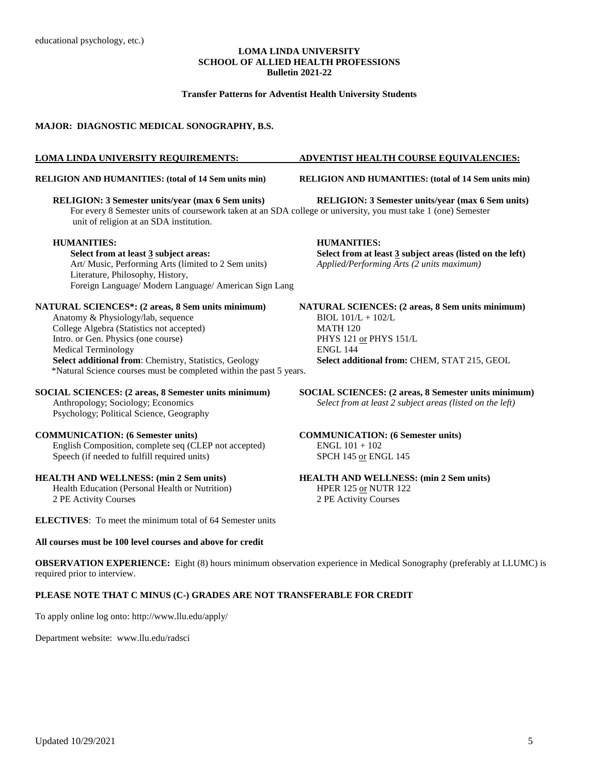### **Transfer Patterns for Adventist Health University Students**

#### **MAJOR: DIAGNOSTIC MEDICAL SONOGRAPHY, B.S.**

#### **LOMA LINDA UNIVERSITY REQUIREMENTS: ADVENTIST HEALTH COURSE EQUIVALENCIES:**

### **RELIGION AND HUMANITIES: (total of 14 Sem units min) RELIGION AND HUMANITIES: (total of 14 Sem units min)**

**RELIGION: 3 Semester units/year (max 6 Sem units) RELIGION: 3 Semester units/year (max 6 Sem units)** For every 8 Semester units of coursework taken at an SDA college or university, you must take 1 (one) Semester unit of religion at an SDA institution.

#### **HUMANITIES: HUMANITIES:**

Art/ Music, Performing Arts (limited to 2 Sem units) *Applied/Performing Arts (2 units maximum)* Literature, Philosophy, History, Foreign Language/ Modern Language/ American Sign Lang

**NATURAL SCIENCES\*: (2 areas, 8 Sem units minimum) NATURAL SCIENCES: (2 areas, 8 Sem units minimum)** Anatomy & Physiology/lab, sequence BIOL  $101/L + 102/L$ College Algebra (Statistics not accepted) MATH 120 Intro. or Gen. Physics (one course) PHYS 121 or PHYS 151/L<br>Medical Terminology PHYS 151/L Medical Terminology<br>
Select additional from: Chemistry, Statistics, Geology<br>
Select additional from: CHEM, STAT 215, GEOL **Select additional from: Chemistry, Statistics, Geology** \*Natural Science courses must be completed within the past 5 years.

Psychology; Political Science, Geography

### **COMMUNICATION: (6 Semester units) COMMUNICATION: (6 Semester units)**

English Composition, complete seq (CLEP not accepted) ENGL  $101 + 102$ Speech (if needed to fulfill required units) SPCH 145 or ENGL 145

Health Education (Personal Health or Nutrition) 2 PE Activity Courses 2 PE Activity Courses

**ELECTIVES**: To meet the minimum total of 64 Semester units

### **All courses must be 100 level courses and above for credit**

**Select from at least 3 subject areas: Select from at least 3 subject areas (listed on the left)**

**SOCIAL SCIENCES: (2 areas, 8 Semester units minimum) SOCIAL SCIENCES: (2 areas, 8 Semester units minimum) Anthropology; Sociology; Economics Select from at least 2 subject areas (listed on the left)** Select from at least 2 subject areas (listed on the left)

## **HEALTH AND WELLNESS: (min 2 Sem units)**<br> **HEALTH AND WELLNESS: (min 2 Sem units)**<br> **HEALTH AND WELLNESS: (min 2 Sem units)**<br> **HEER 125 or NUTR 122**

**OBSERVATION EXPERIENCE:** Eight (8) hours minimum observation experience in Medical Sonography (preferably at LLUMC) is required prior to interview.

### **PLEASE NOTE THAT C MINUS (C-) GRADES ARE NOT TRANSFERABLE FOR CREDIT**

To apply online log onto:<http://www.llu.edu/apply/>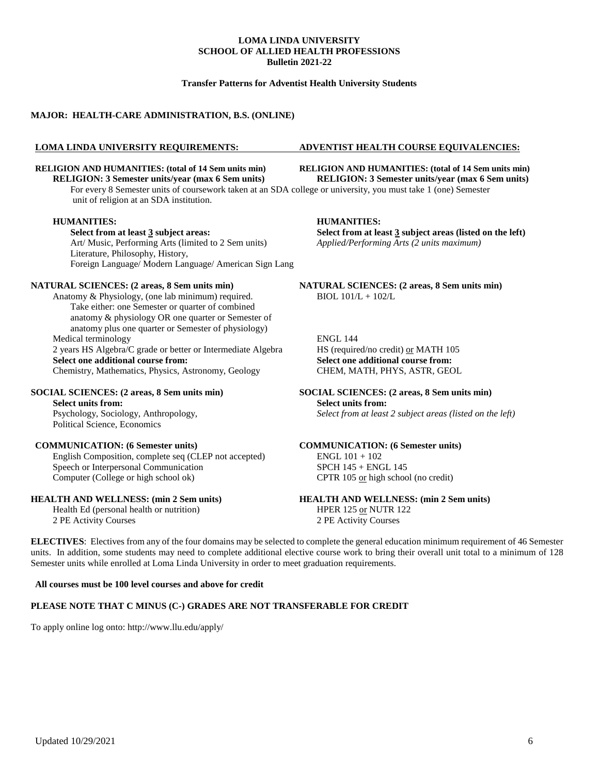### **Transfer Patterns for Adventist Health University Students**

### **MAJOR: HEALTH-CARE ADMINISTRATION, B.S. (ONLINE)**

## **RELIGION: 3 Semester units/year (max 6 Sem units) RELIGION: 3 Semester units/year (max 6 Sem units)**

For every 8 Semester units of coursework taken at an SDA college or university, you must take 1 (one) Semester unit of religion at an SDA institution.

#### **HUMANITIES: HUMANITIES:**

Art/ Music, Performing Arts (limited to 2 Sem units) *Applied/Performing Arts (2 units maximum)* Literature, Philosophy, History, Foreign Language/ Modern Language/ American Sign Lang

Anatomy & Physiology, (one lab minimum) required. BIOL  $101/L + 102/L$ Take either: one Semester or quarter of combined anatomy & physiology OR one quarter or Semester of anatomy plus one quarter or Semester of physiology) Medical terminology ENGL 144 2 years HS Algebra/C grade or better or Intermediate Algebra HS (required/no credit) <u>or</u> MATH 105<br> **Select one additional course from:** Select one additional course from:

Chemistry, Mathematics, Physics, Astronomy, Geology

Political Science, Economics

### **COMMUNICATION: (6 Semester units) COMMUNICATION: (6 Semester units)**

English Composition, complete seq (CLEP not accepted) ENGL 101 + 102 Speech or Interpersonal Communication<br>
Computer (College or high school ok) CPTR 105 or high school

Health Ed (personal health or nutrition) HPER 125 or NUTR 122 2 PE Activity Courses 2 PE Activity Courses

#### **LOMA LINDA UNIVERSITY REQUIREMENTS: ADVENTIST HEALTH COURSE EQUIVALENCIES:**

**RELIGION AND HUMANITIES: (total of 14 Sem units min) RELIGION AND HUMANITIES: (total of 14 Sem units min) RELIGION: 3 Semester units/vear (max 6 Sem units)** 

**Select from at least 3 subject areas: Select from at least 3 subject areas (listed on the left)**

**NATURAL SCIENCES: (2 areas, 8 Sem units min) NATURAL SCIENCES: (2 areas, 8 Sem units min)**

**Select one additional course from:** CHEM, MATH, PHYS, ASTR, GEOL

#### **SOCIAL SCIENCES:** (2 areas, 8 Sem units min)<br>Select units from:<br>Select units from:<br>Select units from: **Select units from:** Psychology, Sociology, Anthropology, *Select from at least 2 subject areas (listed on the left)*

CPTR 105 or high school (no credit)

### **HEALTH AND WELLNESS: (min 2 Sem units) HEALTH AND WELLNESS: (min 2 Sem units)**

**ELECTIVES**: Electives from any of the four domains may be selected to complete the general education minimum requirement of 46 Semester units. In addition, some students may need to complete additional elective course work to bring their overall unit total to a minimum of 128 Semester units while enrolled at Loma Linda University in order to meet graduation requirements.

#### **All courses must be 100 level courses and above for credit**

#### **PLEASE NOTE THAT C MINUS (C-) GRADES ARE NOT TRANSFERABLE FOR CREDIT**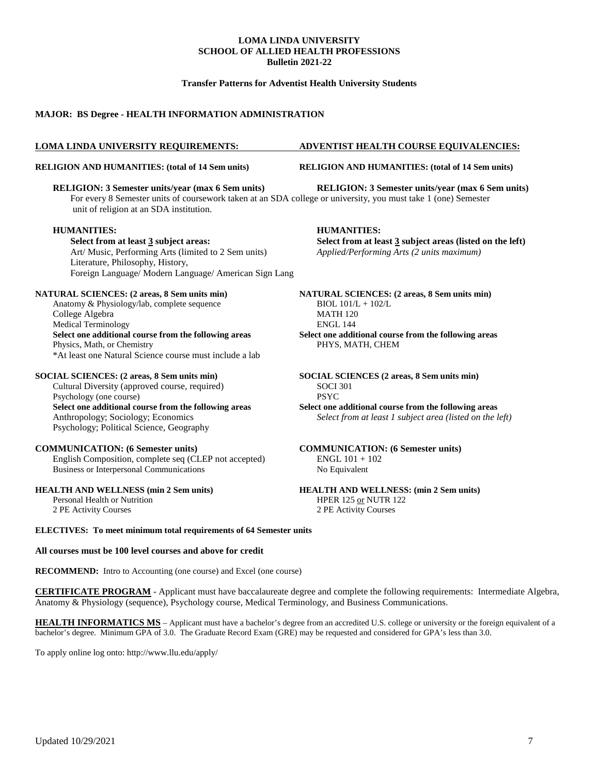### **Transfer Patterns for Adventist Health University Students**

### **MAJOR: BS Degree - HEALTH INFORMATION ADMINISTRATION**

#### **RELIGION AND HUMANITIES: (total of 14 Sem units) RELIGION AND HUMANITIES: (total of 14 Sem units)**

**RELIGION: 3 Semester units/year (max 6 Sem units) RELIGION: 3 Semester units/year (max 6 Sem units)** For every 8 Semester units of coursework taken at an SDA college or university, you must take 1 (one) Semester unit of religion at an SDA institution.

#### **HUMANITIES: HUMANITIES:**

**Select from at least 3 subject areas: Select from at least 3 subject areas (listed on the left)** Art/ Music, Performing Arts (limited to 2 Sem units) *Applied/Performing Arts (2 units maximum)* Literature, Philosophy, History, Foreign Language/ Modern Language/ American Sign Lang

Anatomy & Physiology/lab, complete sequence BIOL  $101/L + 102/L$ College Algebra MATH 120 Medical Terminology ENGL 144 **Select one additional course from the following areas Select one additional course from the following areas** Physics, Math, or Chemistry PHYS, MATH, CHEM \*At least one Natural Science course must include a lab

Cultural Diversity (approved course, required) SOCI 301 Psychology (one course) PSYC **Select one additional course from the following areas Select one additional course from the following areas** Psychology; Political Science, Geography

#### **COMMUNICATION: (6 Semester units) COMMUNICATION: (6 Semester units)**

English Composition, complete seq (CLEP not accepted) ENGL 101 + 102 Business or Interpersonal Communications No Equivalent

### **HEALTH AND WELLNESS (min 2 Sem units) HEALTH AND WELLNESS: (min 2 Sem units)**

2 PE Activity Courses 2 PE Activity Courses

#### **LOMA LINDA UNIVERSITY REQUIREMENTS: ADVENTIST HEALTH COURSE EQUIVALENCIES:**

**NATURAL SCIENCES: (2 areas, 8 Sem units min) NATURAL SCIENCES: (2 areas, 8 Sem units min)**

**SOCIAL SCIENCES: (2 areas, 8 Sem units min) SOCIAL SCIENCES (2 areas, 8 Sem units min)**

Anthropology; Sociology; Economics *Select from at least 1 subject area (listed on the left)*

Personal Health or Nutrition HPER 125 or NUTR 122

**ELECTIVES: To meet minimum total requirements of 64 Semester units**

#### **All courses must be 100 level courses and above for credit**

**RECOMMEND:** Intro to Accounting (one course) and Excel (one course)

**CERTIFICATE PROGRAM** - Applicant must have baccalaureate degree and complete the following requirements: Intermediate Algebra, Anatomy & Physiology (sequence), Psychology course, Medical Terminology, and Business Communications.

**HEALTH INFORMATICS MS** – Applicant must have a bachelor's degree from an accredited U.S. college or university or the foreign equivalent of a bachelor's degree. Minimum GPA of 3.0. The Graduate Record Exam (GRE) may be requested and considered for GPA's less than 3.0.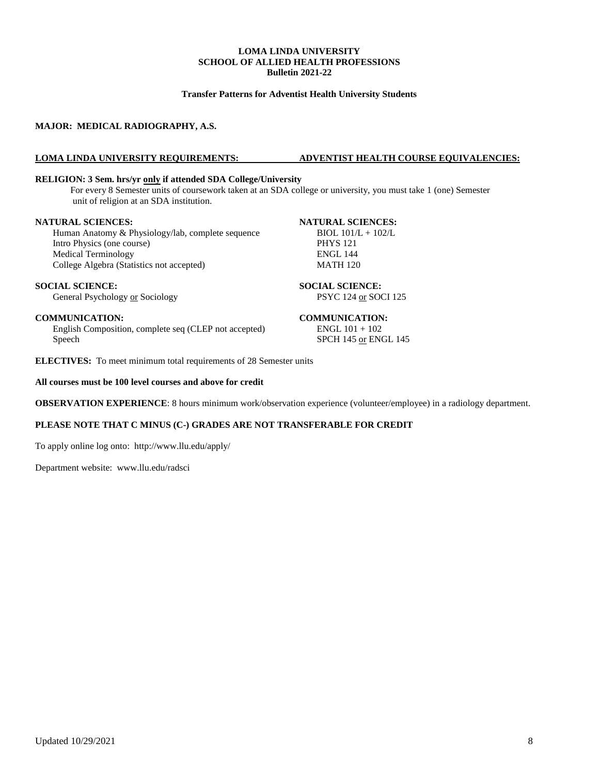### **Transfer Patterns for Adventist Health University Students**

### **MAJOR: MEDICAL RADIOGRAPHY, A.S.**

### **LOMA LINDA UNIVERSITY REQUIREMENTS: ADVENTIST HEALTH COURSE EQUIVALENCIES:**

#### **RELIGION: 3 Sem. hrs/yr only if attended SDA College/University**

For every 8 Semester units of coursework taken at an SDA college or university, you must take 1 (one) Semester unit of religion at an SDA institution.

**NATURAL SCIENCES:**<br> **Human Anatomy & Physiology/lab. complete sequence** BIOL 101/L + 102/L Human Anatomy & Physiology/lab, complete sequence BIOL 101/<br>Intro Physics (one course) PHYS 121 Intro Physics (one course) PHYS 121<br>Medical Terminology ENGL 144 Medical Terminology ENGL 144<br>College Algebra (Statistics not accepted) MATH 120 College Algebra (Statistics not accepted)

#### **SOCIAL SCIENCE: SOCIAL SCIENCE:**

General Psychology or Sociology **PSYC 124 or SOCI 125** 

**COMMUNICATION:**<br>
English Composition, complete seq (CLEP not accepted) **COMMUNICATION:**<br>
ENGL 101 + 102 English Composition, complete seq (CLEP not accepted) Speech SPCH 145 or ENGL 145

**ELECTIVES:** To meet minimum total requirements of 28 Semester units

### **All courses must be 100 level courses and above for credit**

**OBSERVATION EXPERIENCE**: 8 hours minimum work/observation experience (volunteer/employee) in a radiology department.

### **PLEASE NOTE THAT C MINUS (C-) GRADES ARE NOT TRANSFERABLE FOR CREDIT**

To apply online log onto: <http://www.llu.edu/apply/>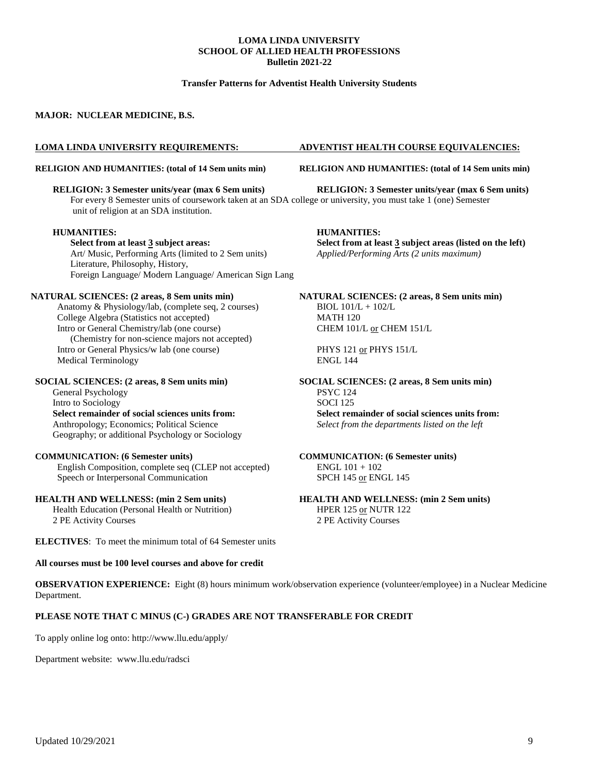### **Transfer Patterns for Adventist Health University Students**

### **MAJOR: NUCLEAR MEDICINE, B.S.**

### **LOMA LINDA UNIVERSITY REQUIREMENTS: ADVENTIST HEALTH COURSE EQUIVALENCIES:**

#### **RELIGION AND HUMANITIES: (total of 14 Sem units min) RELIGION AND HUMANITIES: (total of 14 Sem units min)**

**RELIGION: 3 Semester units/year (max 6 Sem units) RELIGION: 3 Semester units/year (max 6 Sem units)** For every 8 Semester units of coursework taken at an SDA college or university, you must take 1 (one) Semester unit of religion at an SDA institution.

#### **HUMANITIES: HUMANITIES:**

**Select from at least 3 subject areas: Select from at least 3 subject areas (listed on the left)** Art/ Music, Performing Arts (limited to 2 Sem units) *Applied/Performing Arts (2 units maximum)* Literature, Philosophy, History, Foreign Language/ Modern Language/ American Sign Lang

Anatomy & Physiology/lab, (complete seq, 2 courses) BIOL  $101/L + 102/L$ College Algebra (Statistics not accepted) MATH 120 Intro or General Chemistry/lab (one course) CHEM 101/L or CHEM 151/L (Chemistry for non-science majors not accepted) Intro or General Physics/w lab (one course) PHYS 121 or PHYS 151/L Medical Terminology **ENGL 144** 

#### **SOCIAL SCIENCES: (2 areas, 8 Sem units min) SOCIAL SCIENCES: (2 areas, 8 Sem units min)**

General Psychology<br>
PSYC 124<br>
Intro to Sociology<br>
SOCI 125 Intro to Sociology Geography; or additional Psychology or Sociology

#### **COMMUNICATION: (6 Semester units) COMMUNICATION: (6 Semester units)**

English Composition, complete seq (CLEP not accepted) ENGL 101 + 102 Speech or Interpersonal Communication SPCH 145 or ENGL 145

Health Education (Personal Health or Nutrition) HPER 125 or NUTR 122 2 PE Activity Courses 2 PE Activity Courses

**ELECTIVES**: To meet the minimum total of 64 Semester units

### **All courses must be 100 level courses and above for credit**

**NATURAL SCIENCES: (2 areas, 8 Sem units min) NATURAL SCIENCES: (2 areas, 8 Sem units min)**

**Select remainder of social sciences units from:**<br>Anthropology; Economics; Political Science<br>Select from the departments listed on the left<br> $\frac{1}{2}$ Select from the departments listed on the left

**HEALTH AND WELLNESS: (min 2 Sem units) HEALTH AND WELLNESS: (min 2 Sem units)**

**OBSERVATION EXPERIENCE:** Eight (8) hours minimum work/observation experience (volunteer/employee) in a Nuclear Medicine Department.

#### **PLEASE NOTE THAT C MINUS (C-) GRADES ARE NOT TRANSFERABLE FOR CREDIT**

To apply online log onto:<http://www.llu.edu/apply/>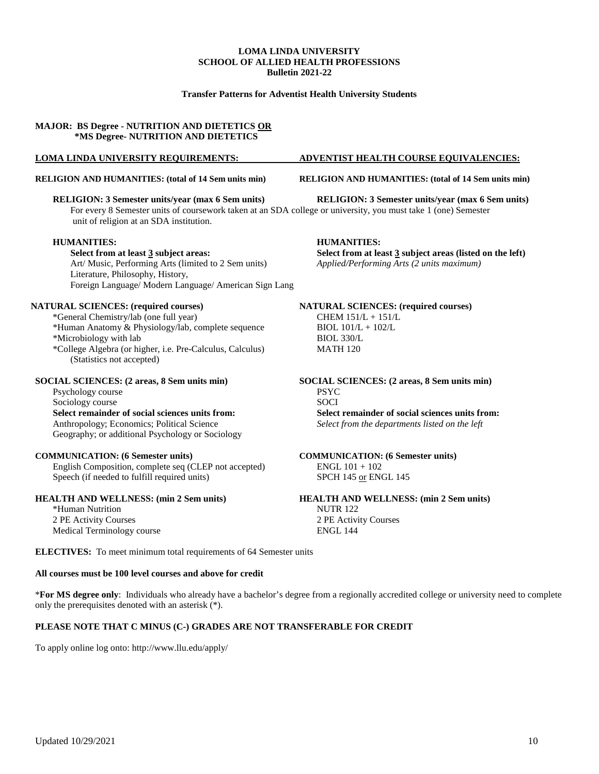### **Transfer Patterns for Adventist Health University Students**

### **MAJOR: BS Degree - NUTRITION AND DIETETICS OR \*MS Degree- NUTRITION AND DIETETICS**

For every 8 Semester units of coursework taken at an SDA college or university, you must take 1 (one) Semester unit of religion at an SDA institution.

#### **HUMANITIES: HUMANITIES:**

Art/ Music, Performing Arts (limited to 2 Sem units) Literature, Philosophy, History, Foreign Language/ Modern Language/ American Sign Lang

#### **NATURAL SCIENCES: (required courses) NATURAL SCIENCES: (required courses)**

\*General Chemistry/lab (one full year) CHEM 151/L + 151/L \*Human Anatomy & Physiology/lab, complete sequence BIOL 101/L + 102/L \*Microbiology with lab BIOL 330/L \*College Algebra (or higher, i.e. Pre-Calculus, Calculus) MATH 120 (Statistics not accepted)

#### **SOCIAL SCIENCES: (2 areas, 8 Sem units min) SOCIAL SCIENCES: (2 areas, 8 Sem units min)**

Psychology course PSYC **Select remainder of social sciences units from:** Anthropology; Economics; Political Science *Select from the departments listed on the left* Geography; or additional Psychology or Sociology

#### **COMMUNICATION: (6 Semester units) COMMUNICATION: (6 Semester units)**

English Composition, complete seq (CLEP not accepted) ENGL  $101 + 102$ Speech (if needed to fulfill required units) SPCH 145 or ENGL 145

#### **HEALTH AND WELLNESS: (min 2 Sem units) HEALTH AND WELLNESS: (min 2 Sem units)**

\*Human Nutrition NUTR 122 2 PE Activity Courses 2 PE Activity Courses Medical Terminology course ENGL 144

**ELECTIVES:** To meet minimum total requirements of 64 Semester units

### **All courses must be 100 level courses and above for credit**

\***For MS degree only**: Individuals who already have a bachelor's degree from a regionally accredited college or university need to complete only the prerequisites denoted with an asterisk (\*).

### **PLEASE NOTE THAT C MINUS (C-) GRADES ARE NOT TRANSFERABLE FOR CREDIT**

To apply online log onto:<http://www.llu.edu/apply/>

### **LOMA LINDA UNIVERSITY REQUIREMENTS: ADVENTIST HEALTH COURSE EQUIVALENCIES:**

### **RELIGION AND HUMANITIES: (total of 14 Sem units min) RELIGION AND HUMANITIES: (total of 14 Sem units min)**

**RELIGION: 3 Semester units/year (max 6 Sem units) RELIGION: 3 Semester units/year (max 6 Sem units)**

**Select from at least 3 subject areas: Select from at least 3 subject areas (listed on the left)** Art/ Music, Performing Arts (limited to 2 Sem units) *Applied/Performing Arts (2 units maximum)* 

Sociology course<br>Select remainder of social sciences units from:<br>Select remainder of social sciences units from:<br>Select remainder of social sciences units from: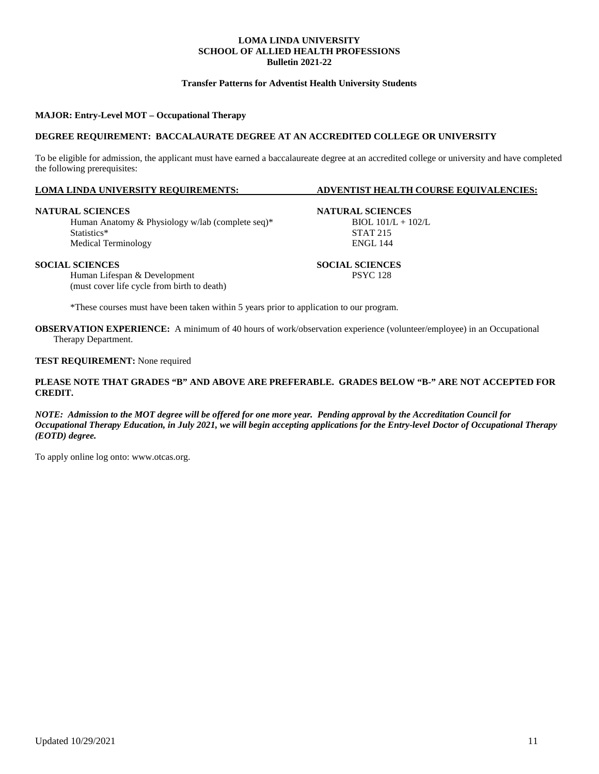### **Transfer Patterns for Adventist Health University Students**

### **MAJOR: Entry-Level MOT – Occupational Therapy**

#### **DEGREE REQUIREMENT: BACCALAURATE DEGREE AT AN ACCREDITED COLLEGE OR UNIVERSITY**

To be eligible for admission, the applicant must have earned a baccalaureate degree at an accredited college or university and have completed the following prerequisites:

#### **LOMA LINDA UNIVERSITY REQUIREMENTS: ADVENTIST HEALTH COURSE EQUIVALENCIES:**

#### **NATURAL SCIENCES NATURAL SCIENCES**

Human Anatomy & Physiology w/lab (complete seq)\* BIOL 101/L + 102/L<br>Statistics\* STAT 215 Statistics\* STAT 215 Medical Terminology ENGL 144

Human Lifespan & Development (must cover life cycle from birth to death)

\*These courses must have been taken within 5 years prior to application to our program.

**OBSERVATION EXPERIENCE:** A minimum of 40 hours of work/observation experience (volunteer/employee) in an Occupational Therapy Department.

**TEST REQUIREMENT:** None required

### **PLEASE NOTE THAT GRADES "B" AND ABOVE ARE PREFERABLE. GRADES BELOW "B-" ARE NOT ACCEPTED FOR CREDIT.**

*NOTE: Admission to the MOT degree will be offered for one more year. Pending approval by the Accreditation Council for Occupational Therapy Education, in July 2021, we will begin accepting applications for the Entry-level Doctor of Occupational Therapy (EOTD) degree.*

To apply online log onto: [www.otcas.org.](http://www.otcas.org./)

**SOCIAL SCIENCES**<br> **SOCIAL SCIENCES**<br> **SOCIAL SCIENCES**<br> **SOCIAL SCIENCES**<br> **SOCIAL SCIENCES**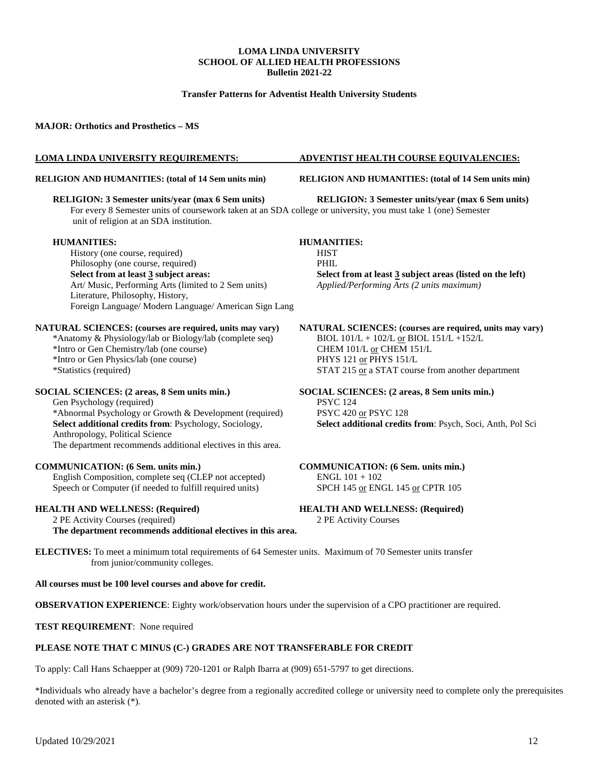### **Transfer Patterns for Adventist Health University Students**

**MAJOR: Orthotics and Prosthetics – MS** 

### **LOMA LINDA UNIVERSITY REQUIREMENTS: ADVENTIST HEALTH COURSE EQUIVALENCIES:**

#### **RELIGION AND HUMANITIES: (total of 14 Sem units min) RELIGION AND HUMANITIES: (total of 14 Sem units min)**

#### **RELIGION: 3 Semester units/year (max 6 Sem units) RELIGION: 3 Semester units/year (max 6 Sem units)**

For every 8 Semester units of coursework taken at an SDA college or university, you must take 1 (one) Semester unit of religion at an SDA institution.

#### **HUMANITIES: HUMANITIES:**

History (one course, required) HIST Philosophy (one course, required) PHIL **Select from at least 3 subject areas: Select from at least 3 subject areas (listed on the left)** Art/ Music, Performing Arts (limited to 2 Sem units) *Applied/Performing Arts (2 units maximum)* Literature, Philosophy, History, Foreign Language/ Modern Language/ American Sign Lang

\*Anatomy & Physiology/lab or Biology/lab (complete seq) BIOL 101/L + 102/L <u>or</u> BIOL 151/L<br>\*Intro or Gen Chemistry/lab (one course) CHEM 101/L <u>or</u> CHEM 151/L \*Intro or Gen Chemistry/lab (one course) CHEM 101/L or CHEM 15<br>
\*Intro or Gen Physics/lab (one course) PHYS 121 or PHYS 151/L \*Intro or Gen Physics/lab (one course)<br>\*Statistics (required)

### **SOCIAL SCIENCES: (2 areas, 8 Sem units min.) SOCIAL SCIENCES: (2 areas, 8 Sem units min.)**

Gen Psychology (required) <br>
\*Abnormal Psychology or Growth & Development (required) PSYC 420 or PSYC 128 \*Abnormal Psychology or Growth & Development (required) **Select additional credits from**: Psychology, Sociology, **Select additional credits from**: Psych, Soci, Anth, Pol Sci Anthropology, Political Science The department recommends additional electives in this area.

#### **COMMUNICATION: (6 Sem. units min.) COMMUNICATION: (6 Sem. units min.)**

English Composition, complete seq (CLEP not accepted) ENGL 101 + 102 Speech or Computer (if needed to fulfill required units) SPCH 145 or ENGL 145 or CPTR 105

2 PE Activity Courses (required) 2 PE Activity Courses **The department recommends additional electives in this area.**

**NATURAL SCIENCES: (courses are required, units may vary) NATURAL SCIENCES: (courses are required, units may vary)**<br>\*Anatomy & Physiology/lab or Biology/lab (complete seq) **BIOL 101/L** + 102/L or BIOL 151/L +152/L STAT 215 or a STAT course from another department

**HEALTH AND WELLNESS: (Required) HEALTH AND WELLNESS: (Required)**

**ELECTIVES:** To meet a minimum total requirements of 64 Semester units. Maximum of 70 Semester units transfer from junior/community colleges.

**All courses must be 100 level courses and above for credit.**

**OBSERVATION EXPERIENCE:** Eighty work/observation hours under the supervision of a CPO practitioner are required.

**TEST REQUIREMENT**: None required

#### **PLEASE NOTE THAT C MINUS (C-) GRADES ARE NOT TRANSFERABLE FOR CREDIT**

To apply: Call Hans Schaepper at (909) 720-1201 or Ralph Ibarra at (909) 651-5797 to get directions.

\*Individuals who already have a bachelor's degree from a regionally accredited college or university need to complete only the prerequisites denoted with an asterisk (\*).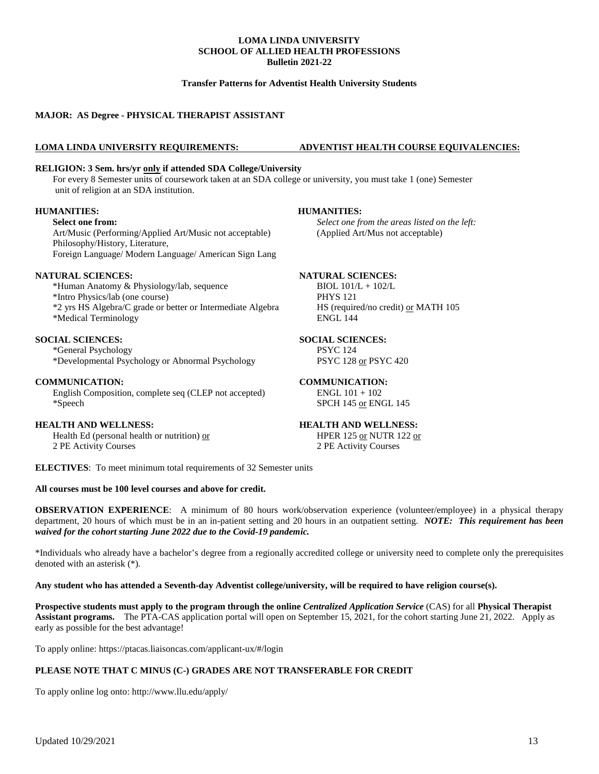### **Transfer Patterns for Adventist Health University Students**

### **MAJOR: AS Degree - PHYSICAL THERAPIST ASSISTANT**

#### **LOMA LINDA UNIVERSITY REQUIREMENTS: ADVENTIST HEALTH COURSE EQUIVALENCIES:**

### **RELIGION: 3 Sem. hrs/yr only if attended SDA College/University**

For every 8 Semester units of coursework taken at an SDA college or university, you must take 1 (one) Semester unit of religion at an SDA institution.

### **HUMANITIES: HUMANITIES:**

Art/Music (Performing/Applied Art/Music not acceptable) (Applied Art/Mus not acceptable) Philosophy/History, Literature,

Foreign Language/ Modern Language/ American Sign Lang

### **NATURAL SCIENCES: NATURAL SCIENCES:**

\*Human Anatomy & Physiology/lab, sequence BIOL 101/L + 102/L \*Intro Physics/lab (one course) PHYS 121

\*2 yrs HS Algebra/C grade or better or Intermediate Algebra HS (required/no credit) or MATH 105 \*Medical Terminology ENGL 144

### **SOCIAL SCIENCES: SOCIAL SCIENCES:**

\*General Psychology PSYC 124 \*Developmental Psychology or Abnormal Psychology

### **COMMUNICATION: COMMUNICATION:**

English Composition, complete seq (CLEP not accepted) ENGL  $101 + 102$ \*Speech SPCH 145 or ENGL 145

### **HEALTH AND WELLNESS: HEALTH AND WELLNESS:**

Health Ed (personal health or nutrition) <u>or</u> HPER 125 or NUTR 122 or 2 PE Activity Courses 2 PE Activity Courses

**ELECTIVES**: To meet minimum total requirements of 32 Semester units

#### **All courses must be 100 level courses and above for credit.**

**OBSERVATION EXPERIENCE**: A minimum of 80 hours work/observation experience (volunteer/employee) in a physical therapy department, 20 hours of which must be in an in-patient setting and 20 hours in an outpatient setting. *NOTE: This requirement has been waived for the cohort starting June 2022 due to the Covid-19 pandemic.*

\*Individuals who already have a bachelor's degree from a regionally accredited college or university need to complete only the prerequisites denoted with an asterisk (\*).

**Any student who has attended a Seventh-day Adventist college/university, will be required to have religion course(s).**

**Prospective students must apply to the program through the online** *Centralized Application Service* (CAS) for all **Physical Therapist Assistant programs.** The PTA-CAS application portal will open on September 15, 2021, for the cohort starting June 21, 2022. Apply as early as possible for the best advantage!

To apply online:<https://ptacas.liaisoncas.com/applicant-ux/#/login>

### **PLEASE NOTE THAT C MINUS (C-) GRADES ARE NOT TRANSFERABLE FOR CREDIT**

To apply online log onto:<http://www.llu.edu/apply/>

**Select one from:** *Select one from the areas listed on the left:*

2 PE Activity Courses 2 PE Activity Courses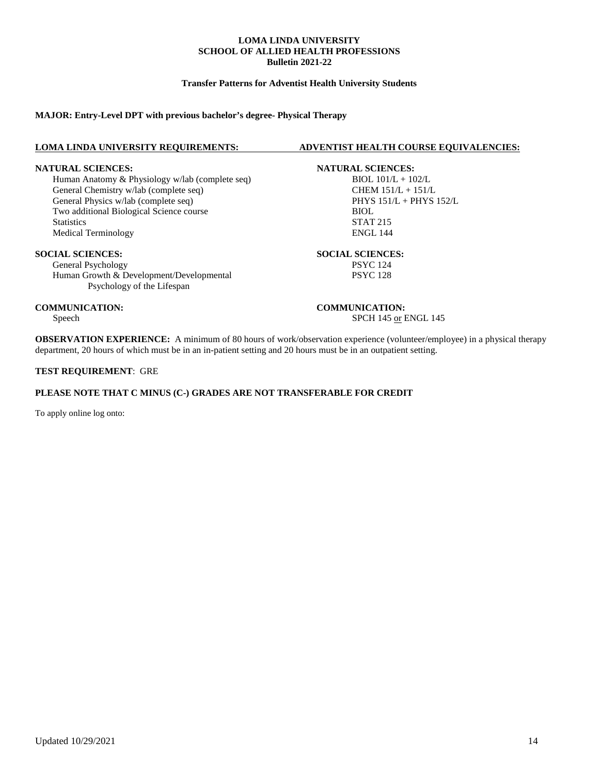### **Transfer Patterns for Adventist Health University Students**

### **MAJOR: Entry-Level DPT with previous bachelor's degree- Physical Therapy**

**NATURAL SCIENCES:**<br> **Human Anatomy & Physiology w/lab (complete seq) NATURAL SCIENCES:**<br> **NATURAL SCIENCES:**<br> **NATURAL SCIENCES:** Human Anatomy & Physiology w/lab (complete seq) BIOL 101/L + 102/L<br>General Chemistry w/lab (complete seq) CHEM 151/L + 151/L General Chemistry w/lab (complete seq)<br>
General Physics w/lab (complete seq)<br>
PHYS 151/L + PHYS 152/L General Physics w/lab (complete seq) Two additional Biological Science course BIOL Statistics STAT 215 Medical Terminology ENGL 144

**SOCIAL SCIENCES:**<br> **SOCIAL SCIENCES:**<br> **SOCIAL SCIENCES:**<br>
PSYC 124 General Psychology<br>
Human Growth & Development/Developmental<br>
PSYC 128 Human Growth & Development/Developmental Psychology of the Lifespan

**COMMUNICATION: COMMUNICATION:**

#### **LOMA LINDA UNIVERSITY REQUIREMENTS: ADVENTIST HEALTH COURSE EQUIVALENCIES:**

## Speech SPCH 145 or ENGL 145

**OBSERVATION EXPERIENCE:** A minimum of 80 hours of work/observation experience (volunteer/employee) in a physical therapy department, 20 hours of which must be in an in-patient setting and 20 hours must be in an outpatient setting.

### **TEST REQUIREMENT**: GRE

### **PLEASE NOTE THAT C MINUS (C-) GRADES ARE NOT TRANSFERABLE FOR CREDIT**

To apply online log onto: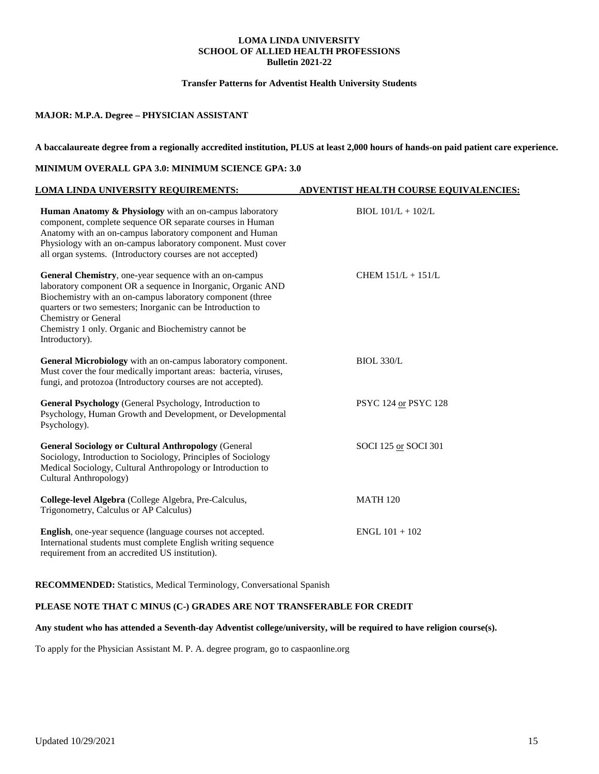### **Transfer Patterns for Adventist Health University Students**

### **MAJOR: M.P.A. Degree – PHYSICIAN ASSISTANT**

### **A baccalaureate degree from a regionally accredited institution, PLUS at least 2,000 hours of hands-on paid patient care experience.**

### **MINIMUM OVERALL GPA 3.0: MINIMUM SCIENCE GPA: 3.0**

| LOMA LINDA UNIVERSITY REQUIREMENTS:                                                                                                                                                                                                                                                                                                                   | <b>ADVENTIST HEALTH COURSE EQUIVALENCIES:</b> |
|-------------------------------------------------------------------------------------------------------------------------------------------------------------------------------------------------------------------------------------------------------------------------------------------------------------------------------------------------------|-----------------------------------------------|
| Human Anatomy & Physiology with an on-campus laboratory<br>component, complete sequence OR separate courses in Human<br>Anatomy with an on-campus laboratory component and Human<br>Physiology with an on-campus laboratory component. Must cover<br>all organ systems. (Introductory courses are not accepted)                                       | $BIOL 101/L + 102/L$                          |
| General Chemistry, one-year sequence with an on-campus<br>laboratory component OR a sequence in Inorganic, Organic AND<br>Biochemistry with an on-campus laboratory component (three<br>quarters or two semesters; Inorganic can be Introduction to<br>Chemistry or General<br>Chemistry 1 only. Organic and Biochemistry cannot be<br>Introductory). | CHEM $151/L + 151/L$                          |
| General Microbiology with an on-campus laboratory component.<br>Must cover the four medically important areas: bacteria, viruses,<br>fungi, and protozoa (Introductory courses are not accepted).                                                                                                                                                     | <b>BIOL 330/L</b>                             |
| <b>General Psychology</b> (General Psychology, Introduction to<br>Psychology, Human Growth and Development, or Developmental<br>Psychology).                                                                                                                                                                                                          | PSYC 124 or PSYC 128                          |
| <b>General Sociology or Cultural Anthropology (General</b><br>Sociology, Introduction to Sociology, Principles of Sociology<br>Medical Sociology, Cultural Anthropology or Introduction to<br>Cultural Anthropology)                                                                                                                                  | SOCI 125 or SOCI 301                          |
| College-level Algebra (College Algebra, Pre-Calculus,<br>Trigonometry, Calculus or AP Calculus)                                                                                                                                                                                                                                                       | <b>MATH 120</b>                               |
| English, one-year sequence (language courses not accepted.<br>International students must complete English writing sequence<br>requirement from an accredited US institution).                                                                                                                                                                        | $ENGL$ 101 + 102                              |

**RECOMMENDED:** Statistics, Medical Terminology, Conversational Spanish

### **PLEASE NOTE THAT C MINUS (C-) GRADES ARE NOT TRANSFERABLE FOR CREDIT**

### **Any student who has attended a Seventh-day Adventist college/university, will be required to have religion course(s).**

To apply for the Physician Assistant M. P. A. degree program, go to caspaonline.org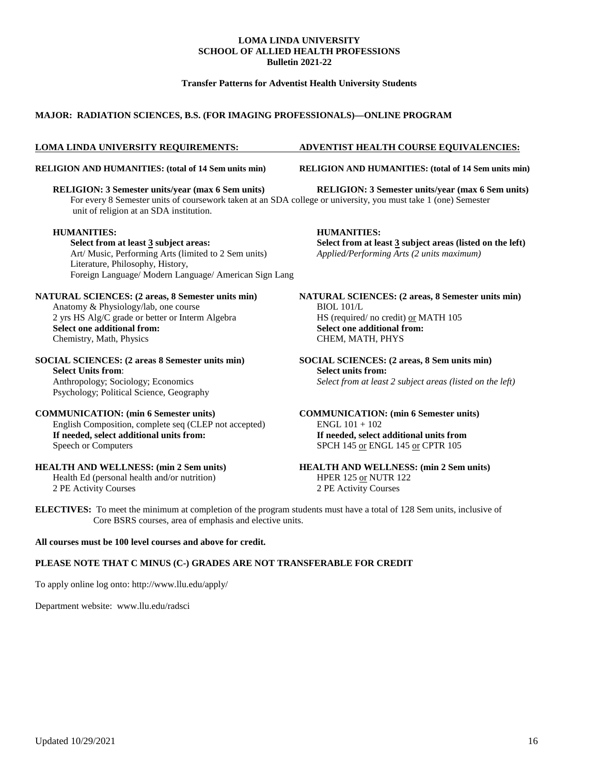### **Transfer Patterns for Adventist Health University Students**

### **MAJOR: RADIATION SCIENCES, B.S. (FOR IMAGING PROFESSIONALS)—ONLINE PROGRAM**

**RELIGION: 3 Semester units/year (max 6 Sem units) RELIGION: 3 Semester units/year (max 6 Sem units)** For every 8 Semester units of coursework taken at an SDA college or university, you must take 1 (one) Semester unit of religion at an SDA institution.

#### **HUMANITIES: HUMANITIES:**

**Select from at least 3 subject areas: Select from at least 3 subject areas (listed on the left)** Art/ Music, Performing Arts (limited to 2 Sem units) *Applied/Performing Arts (2 units maximum)* Literature, Philosophy, History, Foreign Language/ Modern Language/ American Sign Lang

### Anatomy & Physiology/lab, one course BIOL 101/L 2 yrs HS Alg/C grade or better or Interm Algebra  $\qquad \qquad$  HS (required/ no credit) <u>or</u> MATH 105 Select one additional from: **Select one additional from:** <br> **Select one additional from:** <br> **Select one additional from:** <br> **Select one additional from:** <br> **Select one additional from:** <br> **Select one additional f** Chemistry, Math, Physics

#### **SOCIAL SCIENCES: (2 areas 8 Semester units min) SOCIAL SCIENCES: (2 areas, 8 Sem units min) Select Units from**: **Select units from:**

Psychology; Political Science, Geography

### **COMMUNICATION: (min 6 Semester units) COMMUNICATION: (min 6 Semester units)**

English Composition, complete seq (CLEP not accepted) ENGL 101 + 102 **If needed, select additional units from: If needed, select additional units from** Speech or Computers SPCH 145 or ENGL 145 or CPTR 105

Health Ed (personal health and/or nutrition)

2 PE Activity Courses 2 PE Activity Courses

### **LOMA LINDA UNIVERSITY REQUIREMENTS: ADVENTIST HEALTH COURSE EQUIVALENCIES:**

**RELIGION AND HUMANITIES: (total of 14 Sem units min) RELIGION AND HUMANITIES: (total of 14 Sem units min)**

**NATURAL SCIENCES: (2 areas, 8 Semester units min) NATURAL SCIENCES: (2 areas, 8 Semester units min)**

Anthropology; Sociology; Economics *Select from at least 2 subject areas (listed on the left)*

## **HEALTH AND WELLNESS: (min 2 Sem units)**<br>
HEALTH AND WELLNESS: (min 2 Sem units)<br>
HPER 125 <u>or</u> NUTR 122

**ELECTIVES:** To meet the minimum at completion of the program students must have a total of 128 Sem units, inclusive of Core BSRS courses, area of emphasis and elective units.

### **All courses must be 100 level courses and above for credit.**

### **PLEASE NOTE THAT C MINUS (C-) GRADES ARE NOT TRANSFERABLE FOR CREDIT**

To apply online log onto:<http://www.llu.edu/apply/>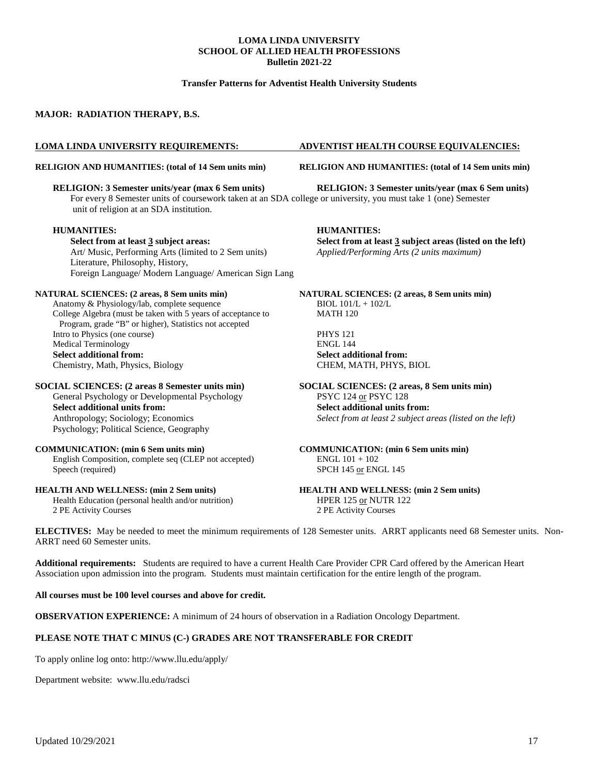### **Transfer Patterns for Adventist Health University Students**

### **MAJOR: RADIATION THERAPY, B.S.**

For every 8 Semester units of coursework taken at an SDA college or university, you must take 1 (one) Semester unit of religion at an SDA institution.

#### **HUMANITIES: HUMANITIES:**

**Select from at least 3 subject areas: Select from at least 3 subject areas (listed on the left)** Art/ Music, Performing Arts (limited to 2 Sem units) *Applied/Performing Arts (2 units maximum)* Literature, Philosophy, History, Foreign Language/ Modern Language/ American Sign Lang

Anatomy & Physiology/lab, complete sequence BIOL  $101/L + 102/L$ <br>College Algebra (must be taken with 5 years of acceptance to MATH 120 College Algebra (must be taken with 5 years of acceptance to Program, grade "B" or higher), Statistics not accepted Intro to Physics (one course) PHYS 121<br>
Medical Terminology PHYS 121 Medical Terminology<br>Select additional from: Chemistry, Math, Physics, Biology

## General Psychology or Developmental Psychology PSYC 124 or PSYC 128 **Select additional units from:**<br> **Select additional units from:**<br> **Select from at least 2 subject a**<br> **Select from at least 2 subject a** Psychology; Political Science, Geography

#### **COMMUNICATION: (min 6 Sem units min) COMMUNICATION: (min 6 Sem units min)**

English Composition, complete seq (CLEP not accepted) ENGL 101 + 102 Speech (required) SPCH 145 or ENGL 145

Health Education (personal health and/or nutrition) HPER 125 or NUTR 122 2 PE Activity Courses 2 PE Activity Courses

#### **LOMA LINDA UNIVERSITY REQUIREMENTS: ADVENTIST HEALTH COURSE EQUIVALENCIES:**

**RELIGION AND HUMANITIES: (total of 14 Sem units min) RELIGION AND HUMANITIES: (total of 14 Sem units min)**

**RELIGION: 3 Semester units/year (max 6 Sem units) RELIGION: 3 Semester units/year (max 6 Sem units)**

**NATURAL SCIENCES: (2 areas, 8 Sem units min) NATURAL SCIENCES: (2 areas, 8 Sem units min)**

Select additional from:<br> **CHEM, MATH, PHYS, BIOL** 

## **SOCIAL SCIENCES: (2 areas 8 Semester units min) SOCIAL SCIENCES: (2 areas, 8 Sem units min)**

Select from at least 2 subject areas (listed on the left)

## **HEALTH AND WELLNESS: (min 2 Sem units) HEALTH AND WELLNESS: (min 2 Sem units)**

**ELECTIVES:** May be needed to meet the minimum requirements of 128 Semester units. ARRT applicants need 68 Semester units. Non-ARRT need 60 Semester units.

**Additional requirements:** Students are required to have a current Health Care Provider CPR Card offered by the American Heart Association upon admission into the program. Students must maintain certification for the entire length of the program.

#### **All courses must be 100 level courses and above for credit.**

**OBSERVATION EXPERIENCE:** A minimum of 24 hours of observation in a Radiation Oncology Department.

### **PLEASE NOTE THAT C MINUS (C-) GRADES ARE NOT TRANSFERABLE FOR CREDIT**

To apply online log onto:<http://www.llu.edu/apply/>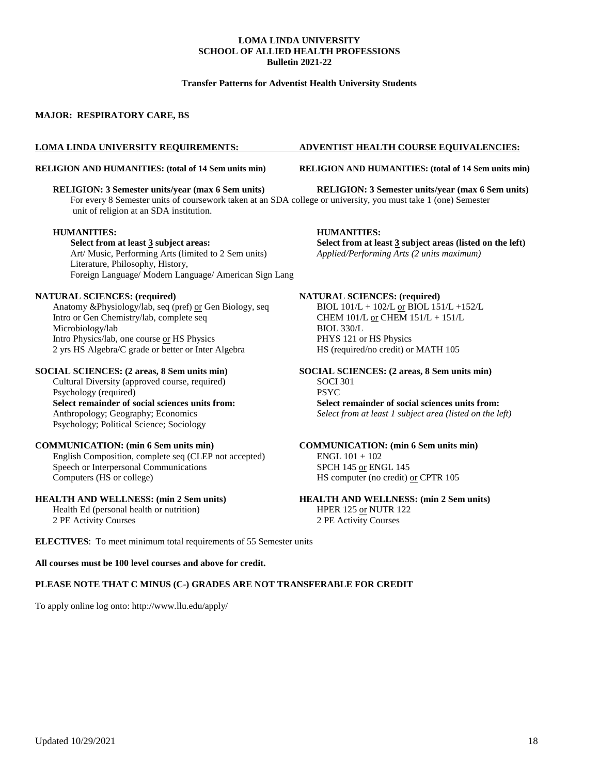### **Transfer Patterns for Adventist Health University Students**

### **MAJOR: RESPIRATORY CARE, BS**

#### **RELIGION AND HUMANITIES: (total of 14 Sem units min) RELIGION AND HUMANITIES: (total of 14 Sem units min)**

**RELIGION: 3 Semester units/year (max 6 Sem units) RELIGION: 3 Semester units/year (max 6 Sem units)** For every 8 Semester units of coursework taken at an SDA college or university, you must take 1 (one) Semester unit of religion at an SDA institution.

**Select from at least 3 subject areas: Select from at least 3 subject areas (listed on the left)** Art/ Music, Performing Arts (limited to 2 Sem units) *Applied/Performing Arts (2 units maximum)* Literature, Philosophy, History, Foreign Language/ Modern Language/ American Sign Lang

Anatomy &Physiology/lab, seq (pref) or Gen Biology, seq BIOL  $101/L + 102/L$  or BIOL  $151/L + 152/L$ Intro or Gen Chemistry/lab, complete seq CHEM 101/L or CHEM 151/L + 151/L Microbiology/lab BIOL 330/L Intro Physics/lab, one course or HS Physics PHYS 121 or HS Physics 2 yrs HS Algebra/C grade or better or Inter Algebra HS (required/no credit) or MATH 105

### **SOCIAL SCIENCES: (2 areas, 8 Sem units min) SOCIAL SCIENCES: (2 areas, 8 Sem units min)**

Cultural Diversity (approved course, required) SOCI 301 **Select remainder of social sciences units from: Select remainder of social sciences units from:** Psychology; Political Science; Sociology

#### **COMMUNICATION: (min 6 Sem units min) COMMUNICATION: (min 6 Sem units min)**

English Composition, complete seq (CLEP not accepted) ENGL 101 + 102 Speech or Interpersonal Communications SPCH 145 or ENGL 145<br>Computers (HS or college) HS computer (no credit)

Health Ed (personal health or nutrition) HPER 125 or NUTR 122 2 PE Activity Courses 2 PE Activity Courses

#### **LOMA LINDA UNIVERSITY REQUIREMENTS: ADVENTIST HEALTH COURSE EQUIVALENCIES:**

#### **HUMANITIES: HUMANITIES:**

#### **NATURAL SCIENCES: (required) NATURAL SCIENCES: (required)**

## Psychology (required)<br> **PSYC**<br> **Select remainder of social sciences units from:**<br> **Select remainder of social sciences units from:** Select from at least 1 subject area (listed on the left)

# HS computer (no credit) or CPTR 105

## **HEALTH AND WELLNESS: (min 2 Sem units) HEALTH AND WELLNESS: (min 2 Sem units)**

**ELECTIVES**: To meet minimum total requirements of 55 Semester units

### **All courses must be 100 level courses and above for credit.**

#### **PLEASE NOTE THAT C MINUS (C-) GRADES ARE NOT TRANSFERABLE FOR CREDIT**